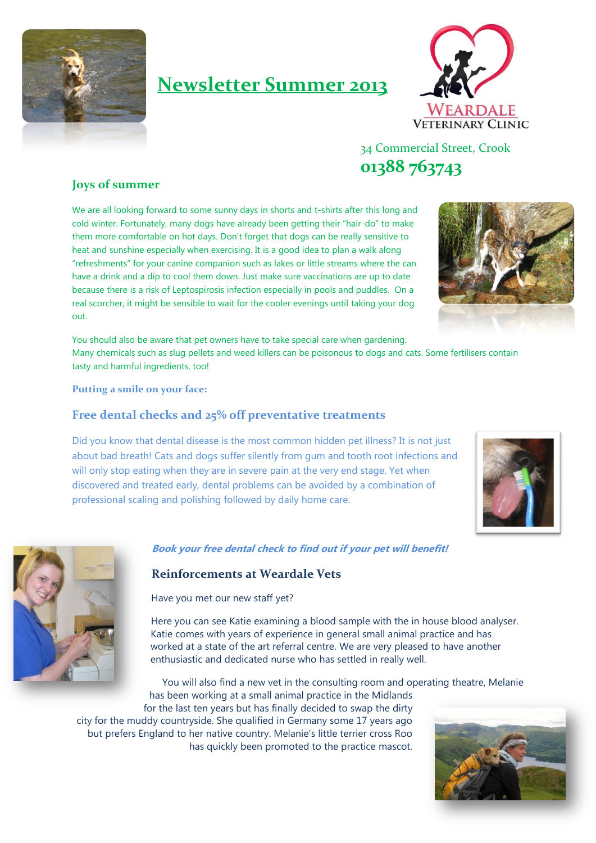

# **Newsletter Summer 2013**



34 Commercial Street, Crook **01388 763743**

## **Joys of summer**

We are all looking forward to some sunny days in shorts and t-shirts after this long and cold winter. Fortunately, many dogs have already been getting their "hair-do" to make them more comfortable on hot days. Don't forget that dogs can be really sensitive to heat and sunshine especially when exercising. It is a good idea to plan a walk along "refreshments" for your canine companion such as lakes or little streams where the can have a drink and a dip to cool them down. Just make sure vaccinations are up to date because there is a risk of Leptospirosis infection especially in pools and puddles. On a real scorcher, it might be sensible to wait for the cooler evenings until taking your dog out.



You should also be aware that pet owners have to take special care when gardening. Many chemicals such as slug pellets and weed killers can be poisonous to dogs and cats. Some fertilisers contain tasty and harmful ingredients, too!

**Putting a smile on your face:** 

### **Free dental checks and 25% off preventative treatments**

Did you know that dental disease is the most common hidden pet illness? It is not just about bad breath! Cats and dogs suffer silently from gum and tooth root infections and will only stop eating when they are in severe pain at the very end stage. Yet when discovered and treated early, dental problems can be avoided by a combination of professional scaling and polishing followed by daily home care.





**Book your free dental check to find out if your pet will benefit!**

#### **Reinforcements at Weardale Vets**

Have you met our new staff yet?

Here you can see Katie examining a blood sample with the in house blood analyser. Katie comes with years of experience in general small animal practice and has worked at a state of the art referral centre. We are very pleased to have another enthusiastic and dedicated nurse who has settled in really well.

You will also find a new vet in the consulting room and operating theatre, Melanie has been working at a small animal practice in the Midlands

for the last ten years but has finally decided to swap the dirty city for the muddy countryside. She qualified in Germany some 17 years ago but prefers England to her native country. Melanie's little terrier cross Roo has quickly been promoted to the practice mascot.